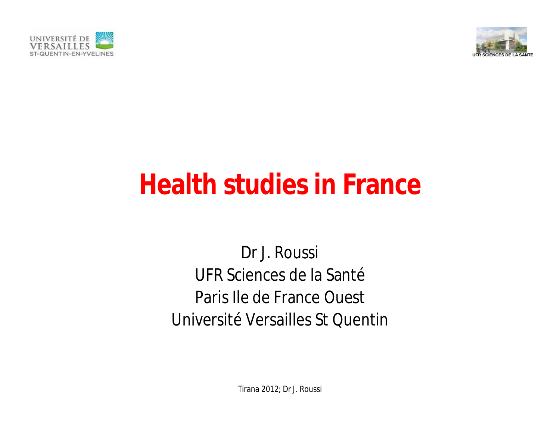



## **Health studies in France**

Dr J. Roussi UFR Sciences de la Santé Paris Ile de France Ouest Université Versailles St Quentin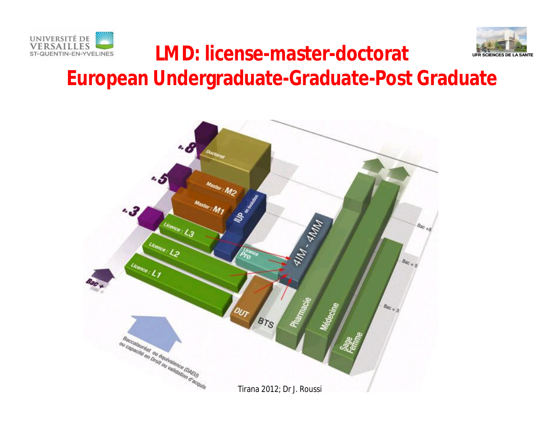



#### LMD: license-master-doctorat **Intersecrets De LA BREAKER European Undergraduate-Graduate-Post Graduate**

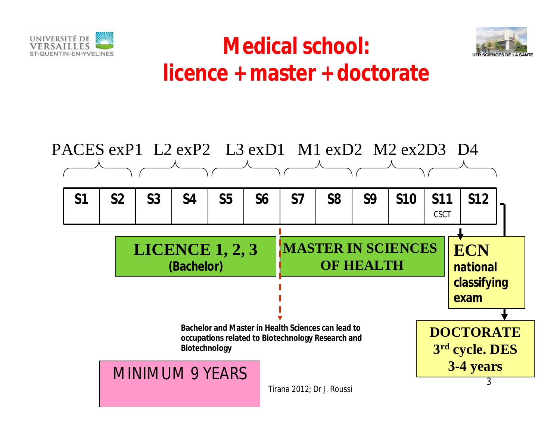



#### **Medical school: licence + master + doctorate**

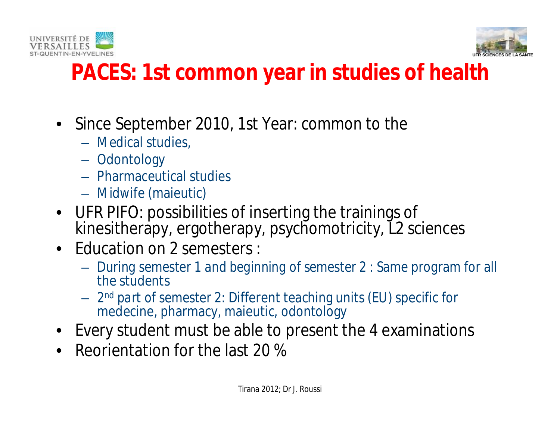



#### **PACES: 1st common year in studies of health**

- Since September 2010, 1st Year: common to the
	- Medical studies,
	- Odontology
	- Pharmaceutical studies
	- Midwife (maieutic)
- UFR PIFO: possibilities of inserting the trainings of kinesitherapy, ergotherapy, psychomotricity, L2 sciences
- Education on 2 semesters :
	- *During semester 1 and beginning of semester 2* : Same program for all the students
	- *2 nd part of semester 2:* Different teaching units (EU) specific for medecine, pharmacy, maieutic, odontology
- Every student must be able to present the 4 examinations
- Reorientation for the last 20 %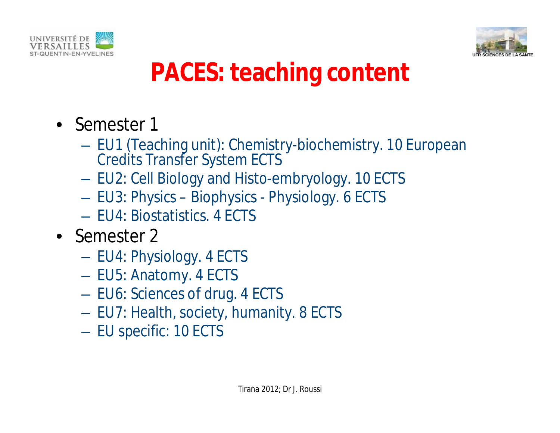



## **PACES: teaching content**

- Semester 1
	- EU1 (Teaching unit): Chemistry-biochemistry. 10 European Credits Transfer System ECTS
	- EU2: Cell Biology and Histo-embryology. 10 ECTS
	- EU3: Physics Biophysics Physiology. 6 ECTS
	- EU4: Biostatistics. 4 ECTS
- Semester 2
	- EU4: Physiology. 4 ECTS
	- EU5: Anatomy. 4 ECTS
	- EU6: Sciences of drug. 4 ECTS
	- EU7: Health, society, humanity. 8 ECTS
	- EU specific: 10 ECTS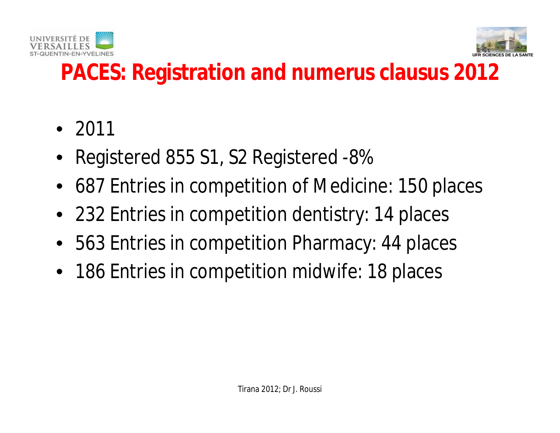



#### **PACES: Registration and numerus clausus 2012**

- 2011
- Registered 855 S1, S2 Registered -8%
- 687 Entries in competition of Medicine: 150 places
- 232 Entries in competition dentistry: 14 places
- 563 Entries in competition Pharmacy: 44 places
- 186 Entries in competition midwife: 18 places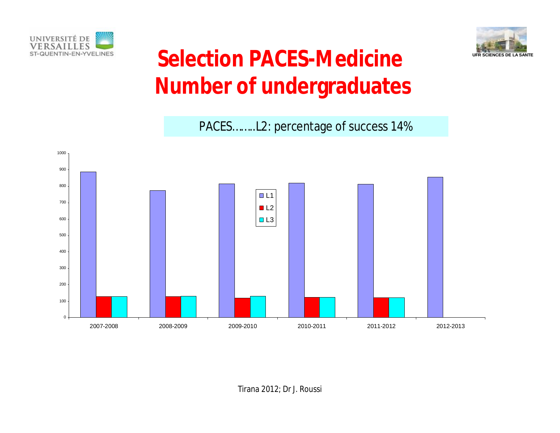



#### Selection PACES-Medicine **Number of undergraduates**

PACES……..L2: percentage of success 14%

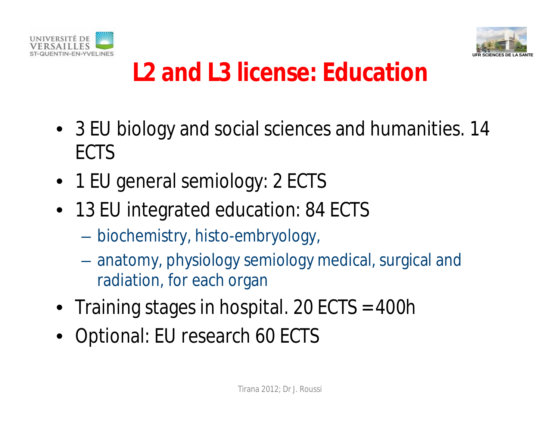



## **L2 and L3 license: Education**

- 3 EU biology and social sciences and humanities. 14 ECTS
- 1 EU general semiology: 2 ECTS
- 13 EU integrated education: 84 ECTS
	- biochemistry, histo-embryology,
	- anatomy, physiology semiology medical, surgical and radiation, for each organ
- Training stages in hospital. 20 ECTS = 400h
- Optional: EU research 60 ECTS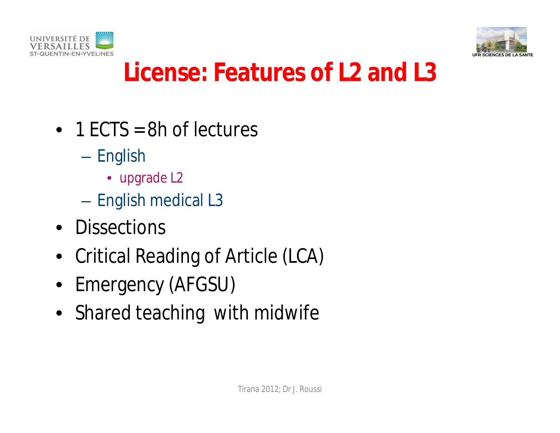



#### **License: Features of L2 and L3**

- 1 ECTS = 8h of lectures
	- English
		- upgrade L2
	- English medical L3
- Dissections
- Critical Reading of Article (LCA)
- Emergency (AFGSU)
- Shared teaching with midwife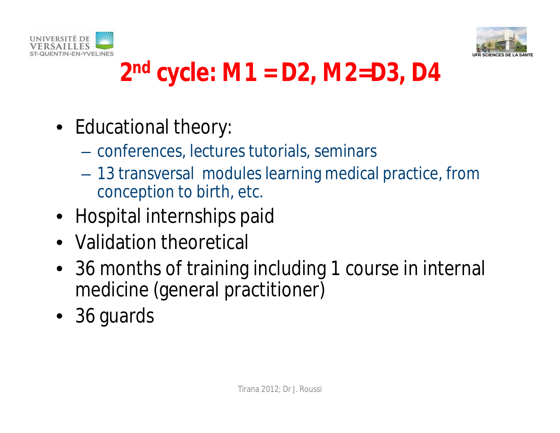



#### **2 nd cycle: M1 = D2, M2=D3, D4**

- Educational theory:
	- conferences, lectures tutorials, seminars
	- 13 transversal modules learning medical practice, from conception to birth, etc.
- Hospital internships paid
- Validation theoretical
- 36 months of training including 1 course in internal medicine (general practitioner)
- 36 guards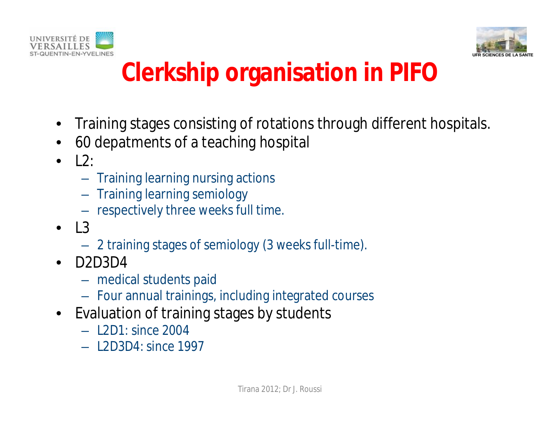



## **Clerkship organisation in PIFO**

- Training stages consisting of rotations through different hospitals.
- 60 depatments of a teaching hospital
- $\bullet$   $\perp$  2:
	- Training learning nursing actions
	- Training learning semiology
	- respectively three weeks full time.
- $\bullet$  13
	- 2 training stages of semiology (3 weeks full-time).
- D2D3D4
	- medical students paid
	- Four annual trainings, including integrated courses
- Evaluation of training stages by students
	- L2D1: since 2004
	- L2D3D4: since 1997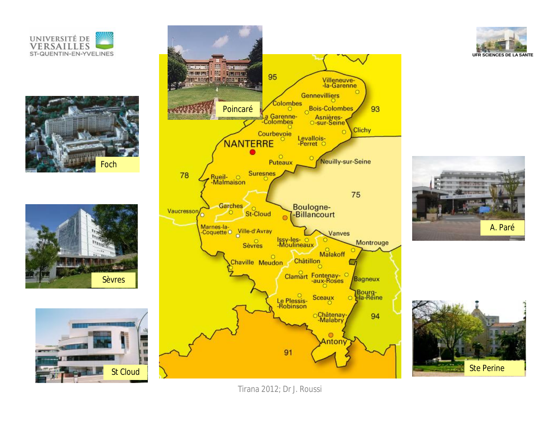













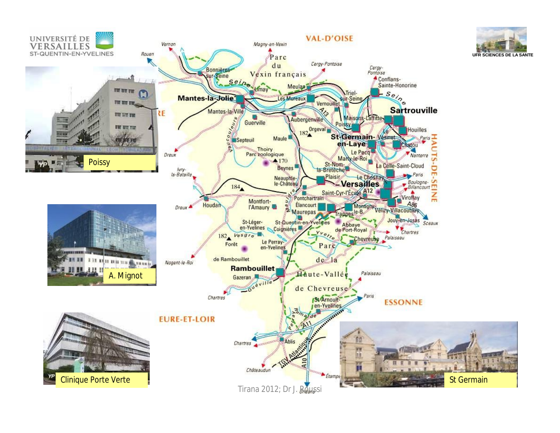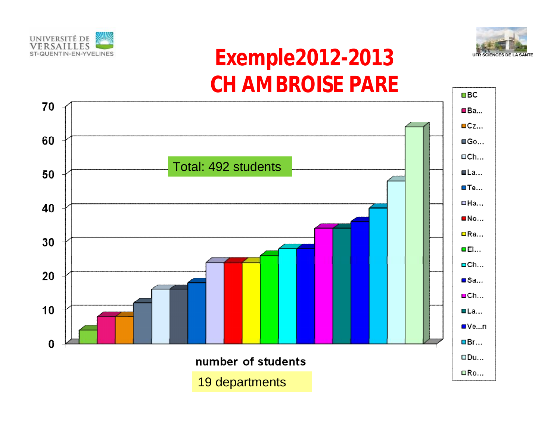



#### Exemple2012-2013 **CH AMBROISE PARE**

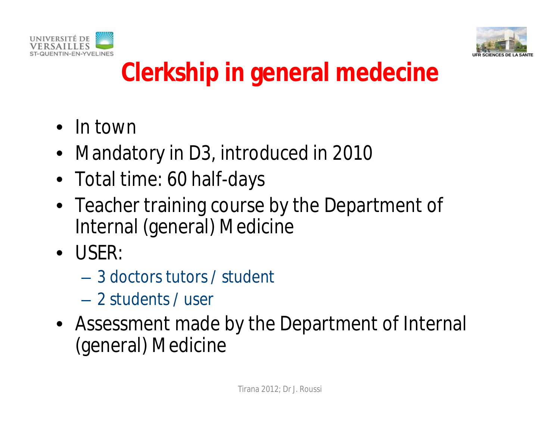



## **Clerkship in general medecine**

- In town
- Mandatory in D3, introduced in 2010
- Total time: 60 half-days
- Teacher training course by the Department of Internal (general) Medicine
- USER:
	- 3 doctors tutors / student
	- 2 students / user
- Assessment made by the Department of Internal (general) Medicine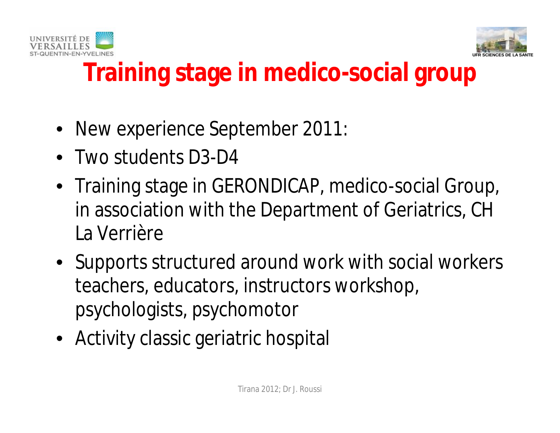



## **Training stage in medico-social group**

- New experience September 2011:
- Two students D3-D4
- Training stage in GERONDICAP, medico-social Group, in association with the Department of Geriatrics, CH La Verrière
- Supports structured around work with social workers teachers, educators, instructors workshop, psychologists, psychomotor
- Activity classic geriatric hospital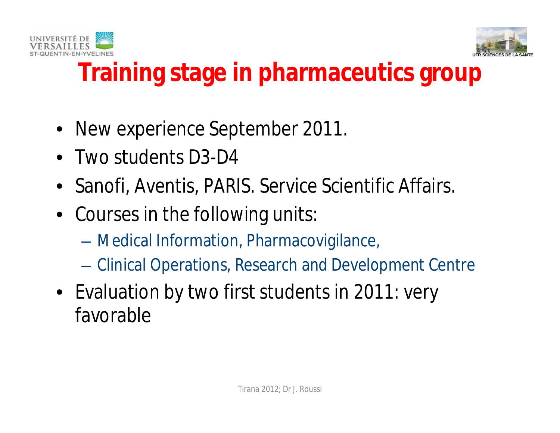



#### **Training stage in pharmaceutics group**

- New experience September 2011.
- Two students D3-D4
- Sanofi, Aventis, PARIS. Service Scientific Affairs.
- Courses in the following units:
	- Medical Information, Pharmacovigilance,
	- Clinical Operations, Research and Development Centre
- Evaluation by two first students in 2011: very favorable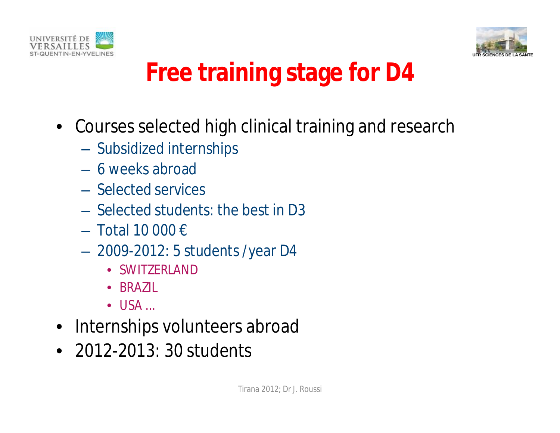



## **Free training stage for D4**

- Courses selected high clinical training and research
	- Subsidized internships
	- 6 weeks abroad
	- Selected services
	- Selected students: the best in D3
	- $-$  Total 10 000 €
	- 2009-2012: 5 students /year D4
		- SWITZERLAND
		- BRAZIL
		- $\bullet$  USA  $\ldots$
- Internships volunteers abroad
- 2012-2013: 30 students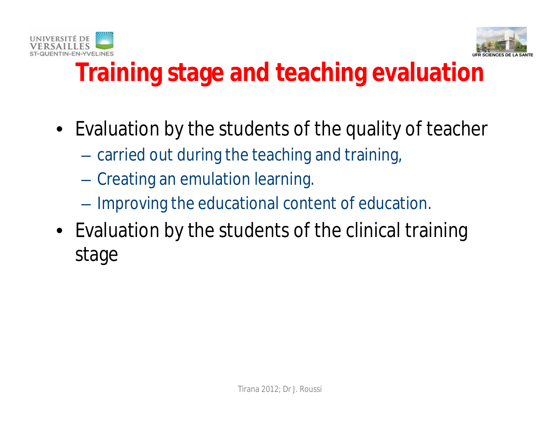



## **Training stage and teaching evaluation**

- Evaluation by the students of the quality of teacher
	- carried out during the teaching and training,
	- Creating an emulation learning.
	- Improving the educational content of education.
- Evaluation by the students of the clinical training stage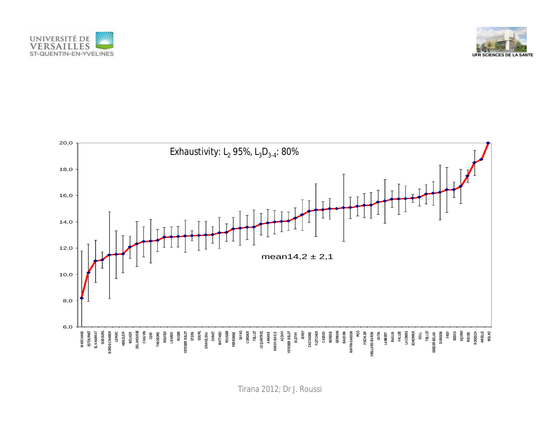



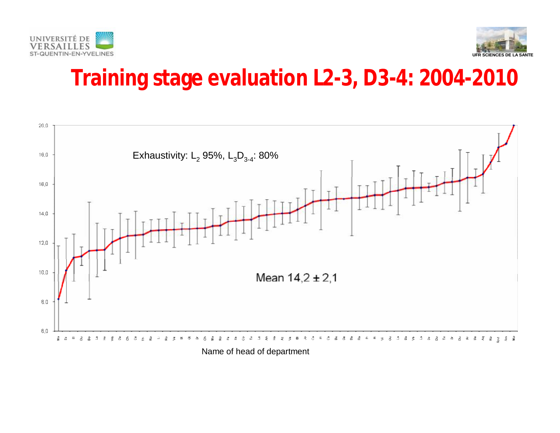



#### **Training stage evaluation L2-3, D3-4: 2004-2010**



Name of head of department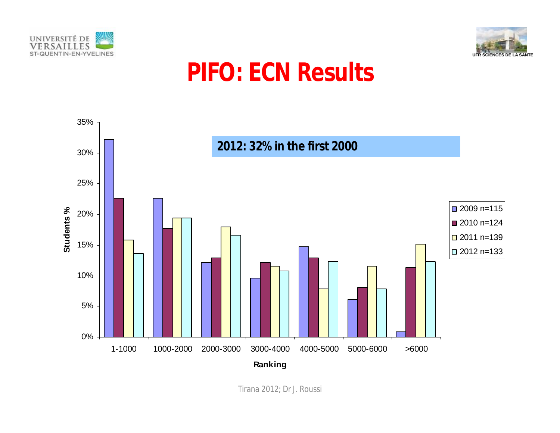



#### **PIFO: ECN Results**

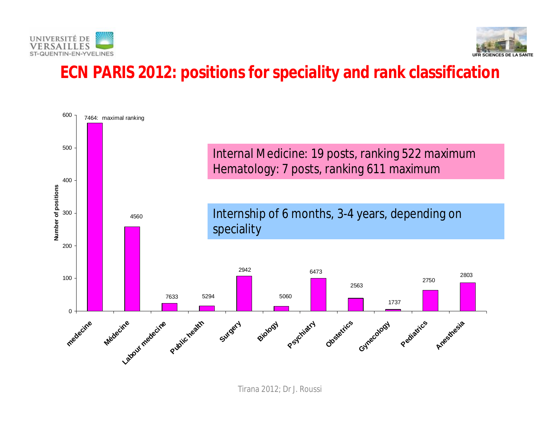



#### **ECN PARIS 2012: positions for speciality and rank classification**

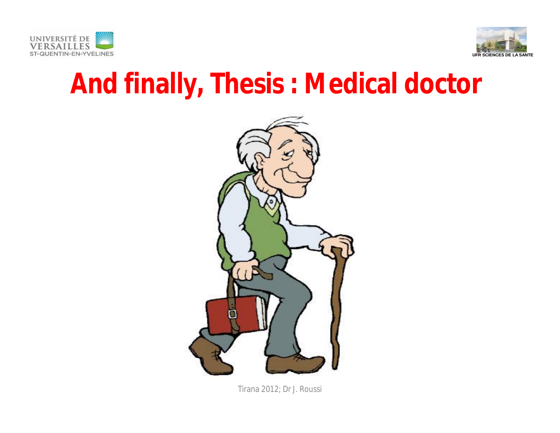



## **And finally, Thesis : Medical doctor**

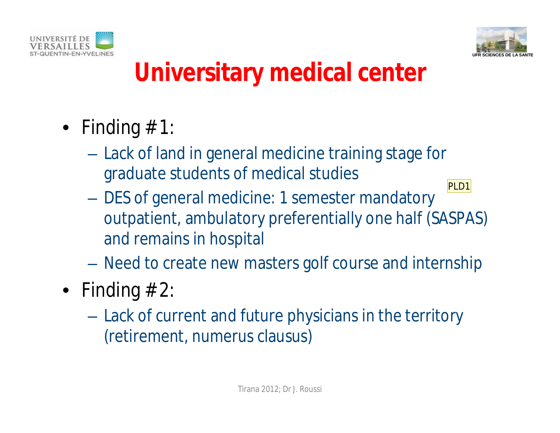



#### **Universitary medical center**

- Finding  $# 1$ :
	- Lack of land in general medicine training stage for graduate students of medical studies
	- DES of general medicine: 1 semester mandatory outpatient, ambulatory preferentially one half (SASPAS) and remains in hospital PLD1
	- Need to create new masters golf course and internship
- Finding  $# 2$ :
	- Lack of current and future physicians in the territory (retirement, numerus clausus)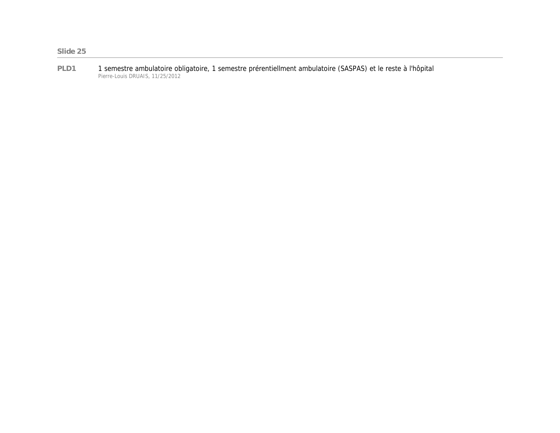**PLD1** 1 semestre ambulatoire obligatoire, 1 semestre prérentiellment ambulatoire (SASPAS) et le reste à l'hôpital Pierre-Louis DRUAIS, 11/25/2012

**Slide 25**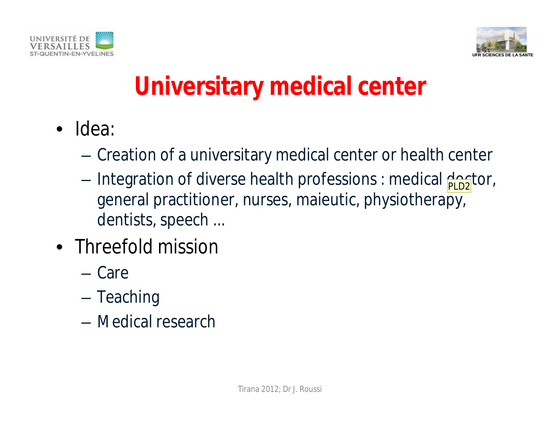



## **Universitary medical center**

- Idea:
	- Creation of a universitary medical center or health center
	- Integration of diverse health professions : medical doctor, general practitioner, nurses, maieutic, physiotherapy, dentists, speech ...
- Threefold mission
	- Care
	- Teaching
	- Medical research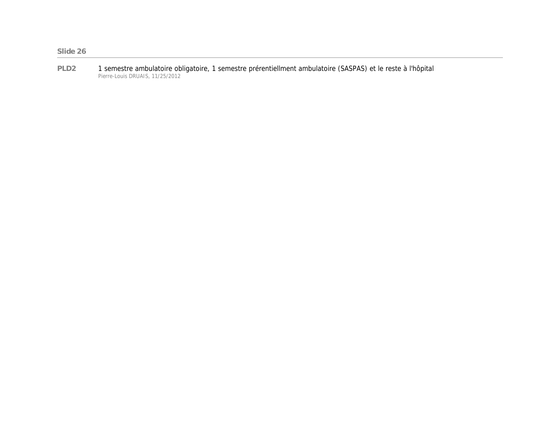**PLD2** 1 semestre ambulatoire obligatoire, 1 semestre prérentiellment ambulatoire (SASPAS) et le reste à l'hôpital Pierre-Louis DRUAIS, 11/25/2012

#### **Slide 26**